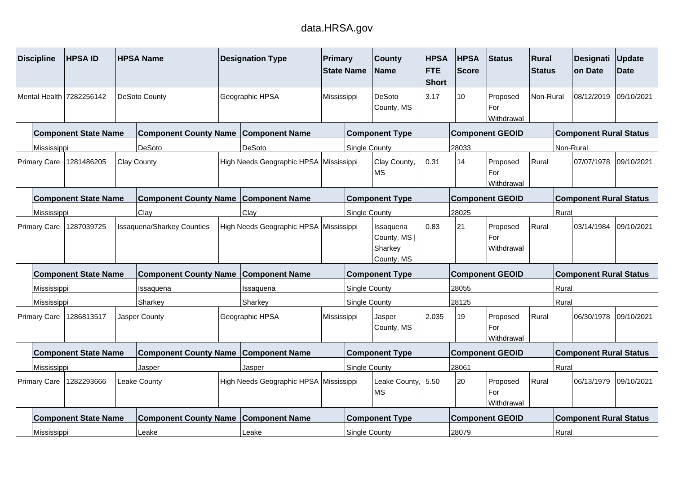## data.HRSA.gov

| <b>Discipline</b>                                                               | <b>HPSAID</b>               |                                   | <b>HPSA Name</b>                            |                                        | <b>Designation Type</b>                | <b>Primary</b> | <b>State Name</b>                                  | <b>County</b><br><b>Name</b>    | <b>HPSA</b><br><b>FTE</b><br><b>Short</b> | <b>HPSA</b><br><b>Score</b>   | Status                        | Rural<br><b>Status</b> |            | Designati<br>on Date          | Update<br><b>Date</b> |
|---------------------------------------------------------------------------------|-----------------------------|-----------------------------------|---------------------------------------------|----------------------------------------|----------------------------------------|----------------|----------------------------------------------------|---------------------------------|-------------------------------------------|-------------------------------|-------------------------------|------------------------|------------|-------------------------------|-----------------------|
|                                                                                 | Mental Health 7282256142    |                                   | <b>DeSoto County</b>                        |                                        | Geographic HPSA                        | Mississippi    |                                                    | <b>DeSoto</b><br>County, MS     | 3.17                                      | 10                            | Proposed<br>For<br>Withdrawal | Non-Rural              |            | 08/12/2019                    | 09/10/2021            |
|                                                                                 | <b>Component State Name</b> |                                   | <b>Component County Name</b>                |                                        | <b>Component Name</b>                  |                |                                                    | <b>Component Type</b>           |                                           |                               | <b>Component GEOID</b>        |                        |            | <b>Component Rural Status</b> |                       |
| Mississippi                                                                     |                             |                                   | <b>DeSoto</b>                               |                                        | DeSoto                                 |                | <b>Single County</b>                               |                                 |                                           | 28033                         |                               |                        | Non-Rural  |                               |                       |
| <b>Primary Care</b>                                                             | 1281486205                  |                                   | <b>Clay County</b>                          |                                        | High Needs Geographic HPSA Mississippi |                |                                                    | Clay County,<br><b>MS</b>       | 0.31                                      | 14                            | Proposed<br>For<br>Withdrawal | Rural                  |            | 07/07/1978                    | 09/10/2021            |
|                                                                                 | <b>Component State Name</b> |                                   | <b>Component County Name Component Name</b> |                                        |                                        |                |                                                    | <b>Component Type</b>           |                                           |                               | <b>Component GEOID</b>        |                        |            | <b>Component Rural Status</b> |                       |
|                                                                                 |                             |                                   | Clay                                        |                                        | Clay                                   |                | Single County                                      |                                 |                                           | 28025                         |                               |                        | Rural      |                               |                       |
| Mississippi<br>1287039725<br><b>Primary Care</b><br><b>Component State Name</b> |                             | <b>Issaquena/Sharkey Counties</b> |                                             | High Needs Geographic HPSA Mississippi |                                        |                | Issaquena<br>County, MS  <br>Sharkey<br>County, MS | 0.83                            | 21                                        | Proposed<br>For<br>Withdrawal | Rural                         |                        | 03/14/1984 | 09/10/2021                    |                       |
|                                                                                 |                             |                                   | <b>Component County Name</b>                |                                        | <b>Component Name</b>                  |                |                                                    | <b>Component Type</b>           |                                           |                               | <b>Component GEOID</b>        |                        |            | <b>Component Rural Status</b> |                       |
| Mississippi                                                                     |                             |                                   | Issaquena                                   |                                        | Issaquena                              |                | Single County                                      |                                 |                                           | 28055                         |                               |                        | Rural      |                               |                       |
|                                                                                 |                             |                                   | Sharkey                                     |                                        | Sharkey                                |                | <b>Single County</b>                               |                                 |                                           | 28125                         |                               |                        | Rural      |                               |                       |
| Mississippi<br>1286813517<br><b>Primary Care</b>                                |                             | Jasper County                     |                                             | Geographic HPSA                        | Mississippi                            |                | Jasper<br>County, MS                               | 2.035                           | 19                                        | Proposed<br>For<br>Withdrawal | Rural                         |                        | 06/30/1978 | 09/10/2021                    |                       |
| <b>Component County Name Component Name</b><br><b>Component State Name</b>      |                             |                                   |                                             |                                        |                                        |                |                                                    | <b>Component Type</b>           |                                           |                               | <b>Component GEOID</b>        |                        |            | <b>Component Rural Status</b> |                       |
| Mississippi<br>Jasper                                                           |                             |                                   |                                             |                                        | Jasper                                 |                | <b>Single County</b>                               |                                 |                                           | 28061                         |                               |                        | Rural      |                               |                       |
| 1282293666<br>Leake County<br><b>Primary Care</b>                               |                             |                                   |                                             |                                        | High Needs Geographic HPSA Mississippi |                |                                                    | Leake County, 5.50<br><b>MS</b> |                                           | 20                            | Proposed<br>For<br>Withdrawal | Rural                  |            | 06/13/1979                    | 09/10/2021            |
| <b>Component State Name</b><br><b>Component County Name</b>                     |                             |                                   |                                             |                                        | <b>Component Name</b>                  |                |                                                    | <b>Component Type</b>           |                                           |                               | <b>Component GEOID</b>        |                        |            | <b>Component Rural Status</b> |                       |
| Mississippi                                                                     |                             |                                   | Leake                                       |                                        | Leake                                  |                | Single County                                      |                                 |                                           | 28079                         |                               |                        | Rural      |                               |                       |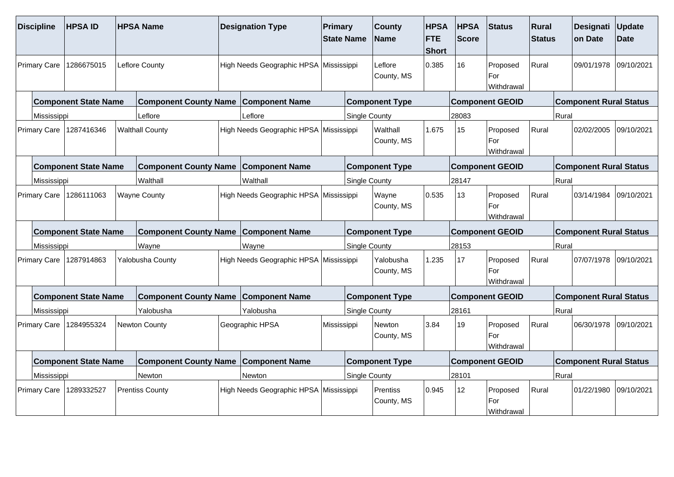| <b>Discipline</b>   | <b>HPSAID</b>               | <b>HPSA Name</b>                            | <b>Designation Type</b>                | Primary     | <b>State Name</b>    | <b>County</b><br><b>Name</b>  | <b>HPSA</b><br><b>FTE</b><br><b>Short</b> | <b>HPSA</b><br><b>Score</b> | Status                        | Rural<br><b>Status</b> |       | <b>Designati</b><br>on Date   | Update<br><b>Date</b> |
|---------------------|-----------------------------|---------------------------------------------|----------------------------------------|-------------|----------------------|-------------------------------|-------------------------------------------|-----------------------------|-------------------------------|------------------------|-------|-------------------------------|-----------------------|
| <b>Primary Care</b> | 1286675015                  | Leflore County                              | High Needs Geographic HPSA Mississippi |             |                      | Leflore<br>County, MS         | 0.385                                     | 16                          | Proposed<br>For<br>Withdrawal | Rural                  |       | 09/01/1978                    | 09/10/2021            |
|                     | <b>Component State Name</b> | <b>Component County Name</b>                | <b>Component Name</b>                  |             |                      | <b>Component Type</b>         |                                           |                             | <b>Component GEOID</b>        |                        |       | <b>Component Rural Status</b> |                       |
| Mississippi         |                             | Leflore                                     | Leflore                                |             | <b>Single County</b> |                               |                                           | 28083                       |                               |                        | Rural |                               |                       |
| <b>Primary Care</b> | 1287416346                  | <b>Walthall County</b>                      | High Needs Geographic HPSA Mississippi |             |                      | Walthall<br>County, MS        | 1.675                                     | 15                          | Proposed<br>For<br>Withdrawal | Rural                  |       | 02/02/2005                    | 09/10/2021            |
|                     | <b>Component State Name</b> | <b>Component County Name</b>                | <b>Component Name</b>                  |             |                      | <b>Component Type</b>         |                                           |                             | <b>Component GEOID</b>        |                        |       | <b>Component Rural Status</b> |                       |
| Mississippi         |                             | Walthall                                    | Walthall                               |             | <b>Single County</b> |                               |                                           | 28147                       |                               |                        | Rural |                               |                       |
| <b>Primary Care</b> | 1286111063                  | <b>Wayne County</b>                         | High Needs Geographic HPSA Mississippi |             |                      | Wayne<br>County, MS           | 0.535                                     | 13                          | Proposed<br>For<br>Withdrawal | Rural                  |       | 03/14/1984                    | 09/10/2021            |
|                     | <b>Component State Name</b> | <b>Component County Name</b>                | <b>Component Name</b>                  |             |                      | <b>Component Type</b>         |                                           |                             | <b>Component GEOID</b>        |                        |       | <b>Component Rural Status</b> |                       |
| Mississippi         |                             | Wayne                                       | Wayne                                  |             | <b>Single County</b> |                               |                                           | 28153                       |                               |                        | Rural |                               |                       |
| <b>Primary Care</b> | 1287914863                  | Yalobusha County                            | High Needs Geographic HPSA Mississippi |             |                      | Yalobusha<br>County, MS       | 1.235                                     | 17                          | Proposed<br>For<br>Withdrawal | Rural                  |       | 07/07/1978                    | 09/10/2021            |
|                     | <b>Component State Name</b> | <b>Component County Name Component Name</b> |                                        |             |                      | <b>Component Type</b>         |                                           |                             | <b>Component GEOID</b>        |                        |       | <b>Component Rural Status</b> |                       |
| Mississippi         |                             | Yalobusha                                   | Yalobusha                              |             | <b>Single County</b> |                               |                                           | 28161                       |                               |                        | Rural |                               |                       |
| <b>Primary Care</b> | 1284955324                  | Newton County                               | Geographic HPSA                        | Mississippi |                      | <b>Newton</b><br>County, MS   | 3.84                                      | 19                          | Proposed<br>For<br>Withdrawal | Rural                  |       | 06/30/1978                    | 09/10/2021            |
|                     | <b>Component State Name</b> | <b>Component County Name</b>                | <b>Component Name</b>                  |             |                      | <b>Component Type</b>         |                                           |                             | <b>Component GEOID</b>        |                        |       | <b>Component Rural Status</b> |                       |
| Mississippi         |                             | Newton                                      | Newton                                 |             | Single County        |                               |                                           | 28101                       |                               |                        | Rural |                               |                       |
| <b>Primary Care</b> | 1289332527                  | <b>Prentiss County</b>                      | High Needs Geographic HPSA Mississippi |             |                      | <b>Prentiss</b><br>County, MS | 0.945                                     | 12 <sup>2</sup>             | Proposed<br>For<br>Withdrawal | Rural                  |       | 01/22/1980                    | 09/10/2021            |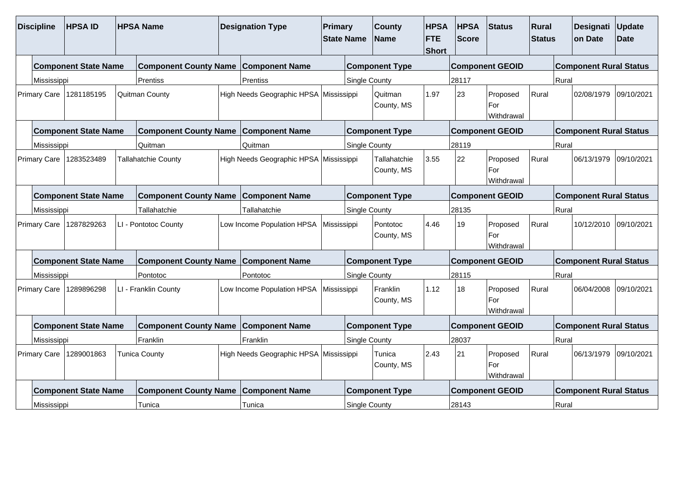| <b>Discipline</b>                                                 | <b>HPSAID</b>                                                                           |  | <b>HPSA Name</b>                            |  | <b>Designation Type</b>                | Primary     | <b>State Name</b>    | <b>County</b><br><b>Name</b> | <b>HPSA</b><br><b>FTE</b><br><b>Short</b> | <b>HPSA</b><br><b>Score</b> | <b>Status</b>                 | Rural<br><b>Status</b> |       | Designati<br>on Date          | Update<br>Date |
|-------------------------------------------------------------------|-----------------------------------------------------------------------------------------|--|---------------------------------------------|--|----------------------------------------|-------------|----------------------|------------------------------|-------------------------------------------|-----------------------------|-------------------------------|------------------------|-------|-------------------------------|----------------|
|                                                                   | <b>Component State Name</b>                                                             |  | <b>Component County Name</b>                |  | <b>Component Name</b>                  |             |                      | <b>Component Type</b>        |                                           |                             | <b>Component GEOID</b>        |                        |       | <b>Component Rural Status</b> |                |
| Mississippi                                                       |                                                                                         |  | Prentiss                                    |  | Prentiss                               |             | Single County        |                              |                                           | 28117                       |                               |                        | Rural |                               |                |
| Primary Care                                                      | 1281185195                                                                              |  | Quitman County                              |  | High Needs Geographic HPSA Mississippi |             |                      | Quitman<br>County, MS        | 1.97                                      | 23                          | Proposed<br>For<br>Withdrawal | Rural                  |       | 02/08/1979                    | 09/10/2021     |
|                                                                   | <b>Component State Name</b>                                                             |  | <b>Component County Name Component Name</b> |  |                                        |             |                      | <b>Component Type</b>        |                                           |                             | <b>Component GEOID</b>        |                        |       | <b>Component Rural Status</b> |                |
| Mississippi                                                       |                                                                                         |  | Quitman                                     |  | Quitman                                |             | <b>Single County</b> |                              |                                           | 28119                       |                               |                        | Rural |                               |                |
| Primary Care                                                      | 1283523489<br><b>Tallahatchie County</b><br><b>Component State Name</b><br>Tallahatchie |  |                                             |  | High Needs Geographic HPSA Mississippi |             |                      | Tallahatchie<br>County, MS   | 3.55                                      | 22                          | Proposed<br>For<br>Withdrawal | Rural                  |       | 06/13/1979                    | 09/10/2021     |
|                                                                   |                                                                                         |  | <b>Component County Name</b>                |  | <b>Component Name</b>                  |             |                      | <b>Component Type</b>        |                                           |                             | <b>Component GEOID</b>        |                        |       | <b>Component Rural Status</b> |                |
|                                                                   |                                                                                         |  |                                             |  | Tallahatchie                           |             | Single County        |                              |                                           | 28135                       |                               |                        | Rural |                               |                |
| Mississippi<br>1287829263<br>Primary Care<br>LI - Pontotoc County |                                                                                         |  |                                             |  | Low Income Population HPSA             | Mississippi |                      | Pontotoc<br>County, MS       | 4.46                                      | 19                          | Proposed<br>For<br>Withdrawal | Rural                  |       | 10/12/2010                    | 09/10/2021     |
|                                                                   | <b>Component State Name</b>                                                             |  | <b>Component County Name Component Name</b> |  |                                        |             |                      | <b>Component Type</b>        |                                           |                             | <b>Component GEOID</b>        |                        |       | <b>Component Rural Status</b> |                |
|                                                                   |                                                                                         |  | Pontotoc                                    |  | Pontotoc                               |             | Single County        |                              |                                           | 28115                       |                               |                        | Rural |                               |                |
| Mississippi<br>1289896298<br>Primary Care<br>LI - Franklin County |                                                                                         |  |                                             |  | Low Income Population HPSA             | Mississippi |                      | Franklin<br>County, MS       | 1.12                                      | 18                          | Proposed<br>For<br>Withdrawal | Rural                  |       | 06/04/2008                    | 09/10/2021     |
|                                                                   | <b>Component State Name</b>                                                             |  | Component County Name Component Name        |  |                                        |             |                      | <b>Component Type</b>        |                                           |                             | <b>Component GEOID</b>        |                        |       | <b>Component Rural Status</b> |                |
| Mississippi                                                       |                                                                                         |  | Franklin                                    |  | Franklin                               |             | <b>Single County</b> |                              |                                           | 28037                       |                               |                        | Rural |                               |                |
| Primary Care                                                      | 1289001863<br><b>Tunica County</b>                                                      |  |                                             |  | High Needs Geographic HPSA Mississippi |             |                      | Tunica<br>County, MS         | 2.43                                      | 21                          | Proposed<br>For<br>Withdrawal | Rural                  |       | 06/13/1979                    | 09/10/2021     |
|                                                                   | <b>Component State Name</b>                                                             |  | <b>Component County Name Component Name</b> |  |                                        |             |                      | <b>Component Type</b>        |                                           |                             | <b>Component GEOID</b>        |                        |       | <b>Component Rural Status</b> |                |
| Mississippi                                                       |                                                                                         |  | Tunica                                      |  | Tunica                                 |             | Single County        |                              |                                           | 28143                       |                               |                        | Rural |                               |                |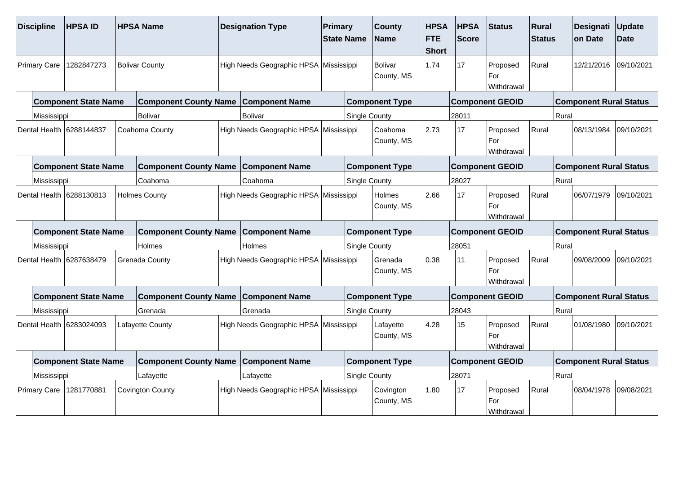| <b>Discipline</b>   | <b>HPSAID</b>               | <b>HPSA Name</b>                            | <b>Designation Type</b>                | Primary | <b>State Name</b>    | <b>County</b><br><b>Name</b> | <b>HPSA</b><br><b>FTE</b><br><b>Short</b> | <b>HPSA</b><br><b>Score</b> | Status                        | Rural<br><b>Status</b> |       | <b>Designati</b><br>on Date   | Update<br><b>Date</b> |
|---------------------|-----------------------------|---------------------------------------------|----------------------------------------|---------|----------------------|------------------------------|-------------------------------------------|-----------------------------|-------------------------------|------------------------|-------|-------------------------------|-----------------------|
| <b>Primary Care</b> | 1282847273                  | <b>Bolivar County</b>                       | High Needs Geographic HPSA Mississippi |         |                      | <b>Bolivar</b><br>County, MS | 1.74                                      | 17                          | Proposed<br>For<br>Withdrawal | Rural                  |       | 12/21/2016                    | 09/10/2021            |
|                     | <b>Component State Name</b> | <b>Component County Name</b>                | <b>Component Name</b>                  |         |                      | <b>Component Type</b>        |                                           |                             | <b>Component GEOID</b>        |                        |       | <b>Component Rural Status</b> |                       |
| Mississippi         |                             | Bolivar                                     | Bolivar                                |         | <b>Single County</b> |                              |                                           | 28011                       |                               |                        | Rural |                               |                       |
|                     | Dental Health 16288144837   | Coahoma County                              | High Needs Geographic HPSA Mississippi |         |                      | Coahoma<br>County, MS        | 2.73                                      | 17                          | Proposed<br>For<br>Withdrawal | Rural                  |       | 08/13/1984                    | 09/10/2021            |
|                     | <b>Component State Name</b> | <b>Component County Name</b>                | <b>Component Name</b>                  |         |                      | <b>Component Type</b>        |                                           |                             | <b>Component GEOID</b>        |                        |       | <b>Component Rural Status</b> |                       |
| Mississippi         |                             | Coahoma                                     | Coahoma                                |         | <b>Single County</b> |                              |                                           | 28027                       |                               |                        | Rural |                               |                       |
|                     | Dental Health 6288130813    | <b>Holmes County</b>                        | High Needs Geographic HPSA Mississippi |         |                      | <b>Holmes</b><br>County, MS  | 2.66                                      | 17                          | Proposed<br>For<br>Withdrawal | Rural                  |       | 06/07/1979                    | 09/10/2021            |
|                     | <b>Component State Name</b> | <b>Component County Name</b>                | <b>Component Name</b>                  |         |                      | <b>Component Type</b>        |                                           |                             | <b>Component GEOID</b>        |                        |       | <b>Component Rural Status</b> |                       |
| Mississippi         |                             | Holmes                                      | Holmes                                 |         | <b>Single County</b> |                              |                                           | 28051                       |                               |                        | Rural |                               |                       |
|                     | Dental Health 6287638479    | Grenada County                              | High Needs Geographic HPSA Mississippi |         |                      | Grenada<br>County, MS        | 0.38                                      | 11                          | Proposed<br>For<br>Withdrawal | Rural                  |       | 09/08/2009                    | 09/10/2021            |
|                     | <b>Component State Name</b> | <b>Component County Name Component Name</b> |                                        |         |                      | <b>Component Type</b>        |                                           |                             | <b>Component GEOID</b>        |                        |       | <b>Component Rural Status</b> |                       |
| Mississippi         |                             | Grenada                                     | Grenada                                |         | <b>Single County</b> |                              |                                           | 28043                       |                               |                        | Rural |                               |                       |
|                     | Dental Health 6283024093    | Lafayette County                            | High Needs Geographic HPSA Mississippi |         |                      | Lafayette<br>County, MS      | 4.28                                      | 15                          | Proposed<br>For<br>Withdrawal | Rural                  |       | 01/08/1980                    | 09/10/2021            |
|                     | <b>Component State Name</b> | <b>Component County Name</b>                | <b>Component Name</b>                  |         |                      | <b>Component Type</b>        |                                           |                             | <b>Component GEOID</b>        |                        |       | <b>Component Rural Status</b> |                       |
| Mississippi         |                             | Lafayette                                   | Lafayette                              |         | Single County        |                              |                                           | 28071                       |                               |                        | Rural |                               |                       |
| <b>Primary Care</b> | 1281770881                  | <b>Covington County</b>                     | High Needs Geographic HPSA Mississippi |         |                      | Covington<br>County, MS      | 1.80                                      | 17                          | Proposed<br>For<br>Withdrawal | Rural                  |       | 08/04/1978                    | 09/08/2021            |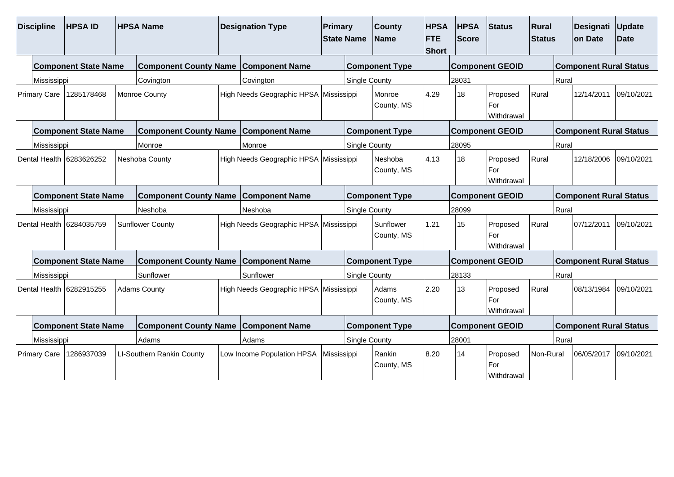| <b>Discipline</b>                                       | <b>HPSAID</b>               |                | <b>HPSA Name</b>                            | <b>Designation Type</b>                | Primary              | <b>State Name</b>     | <b>County</b><br>Name   | <b>HPSA</b><br><b>FTE</b><br><b>Short</b> | <b>HPSA</b><br>Score          | <b>Status</b>                 | Rural<br><b>Status</b> |            | Designati<br>on Date          | <b>Update</b><br>Date |
|---------------------------------------------------------|-----------------------------|----------------|---------------------------------------------|----------------------------------------|----------------------|-----------------------|-------------------------|-------------------------------------------|-------------------------------|-------------------------------|------------------------|------------|-------------------------------|-----------------------|
|                                                         | <b>Component State Name</b> |                | <b>Component County Name</b>                | <b>Component Name</b>                  |                      |                       | <b>Component Type</b>   |                                           |                               | <b>Component GEOID</b>        |                        |            | <b>Component Rural Status</b> |                       |
| Mississippi                                             |                             |                | Covington                                   | Covington                              |                      | Single County         |                         |                                           | 28031                         |                               |                        | Rural      |                               |                       |
| Primary Care                                            | 1285178468                  |                | Monroe County                               | High Needs Geographic HPSA Mississippi |                      |                       | Monroe<br>County, MS    | 4.29                                      | 18                            | Proposed<br>For<br>Withdrawal | Rural                  |            | 12/14/2011                    | 09/10/2021            |
|                                                         | <b>Component State Name</b> |                | Component County Name Component Name        |                                        |                      |                       | <b>Component Type</b>   |                                           |                               | <b>Component GEOID</b>        |                        |            | <b>Component Rural Status</b> |                       |
| Mississippi                                             |                             |                | Monroe                                      | Monroe                                 |                      | <b>Single County</b>  |                         |                                           | 28095                         |                               |                        | Rural      |                               |                       |
| Dental Health 6283626252<br><b>Component State Name</b> |                             | Neshoba County | High Needs Geographic HPSA Mississippi      |                                        |                      | Neshoba<br>County, MS | 4.13                    | 18                                        | Proposed<br>For<br>Withdrawal | Rural                         |                        | 12/18/2006 | 09/10/2021                    |                       |
|                                                         |                             |                | <b>Component County Name</b>                | <b>Component Name</b>                  |                      |                       | <b>Component Type</b>   |                                           |                               | <b>Component GEOID</b>        |                        |            | <b>Component Rural Status</b> |                       |
| Mississippi                                             |                             |                | Neshoba                                     | Neshoba                                |                      | <b>Single County</b>  |                         |                                           | 28099                         |                               |                        | Rural      |                               |                       |
|                                                         | Dental Health 6284035759    |                | <b>Sunflower County</b>                     | High Needs Geographic HPSA Mississippi |                      |                       | Sunflower<br>County, MS | 1.21                                      | 15                            | Proposed<br>For<br>Withdrawal | Rural                  |            | 07/12/2011                    | 09/10/2021            |
|                                                         | <b>Component State Name</b> |                | <b>Component County Name</b>                | <b>Component Name</b>                  |                      |                       | <b>Component Type</b>   |                                           |                               | <b>Component GEOID</b>        |                        |            | <b>Component Rural Status</b> |                       |
| Mississippi                                             |                             |                | Sunflower                                   | Sunflower                              |                      | Single County         |                         |                                           | 28133                         |                               |                        | Rural      |                               |                       |
|                                                         | Dental Health 6282915255    |                | <b>Adams County</b>                         | High Needs Geographic HPSA Mississippi |                      |                       | Adams<br>County, MS     | 2.20                                      | 13                            | Proposed<br>For<br>Withdrawal | Rural                  |            | 08/13/1984                    | 09/10/2021            |
|                                                         | <b>Component State Name</b> |                | <b>Component County Name Component Name</b> |                                        |                      |                       | <b>Component Type</b>   |                                           |                               | <b>Component GEOID</b>        |                        |            | <b>Component Rural Status</b> |                       |
| Mississippi                                             |                             | Adams          | Adams                                       |                                        | <b>Single County</b> |                       |                         | 28001                                     |                               |                               | Rural                  |            |                               |                       |
| <b>Primary Care</b><br>1286937039                       |                             |                | LI-Southern Rankin County                   | Low Income Population HPSA             | Mississippi          |                       | Rankin<br>County, MS    | 8.20                                      | 14                            | Proposed<br>For<br>Withdrawal | Non-Rural              |            | 06/05/2017                    | 09/10/2021            |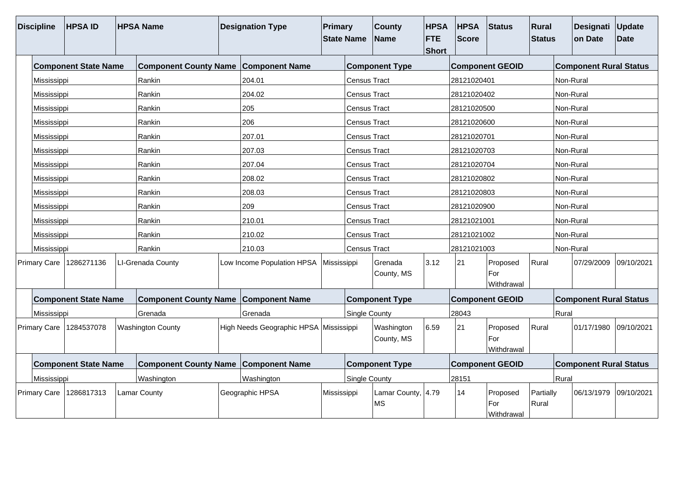| <b>Discipline</b>                 | <b>HPSA ID</b>              |                          | <b>HPSA Name</b>                            | <b>Designation Type</b>    | <b>Primary</b> | <b>State Name</b>        | <b>County</b><br><b>Name</b> | <b>HPSA</b><br><b>FTE</b><br><b>Short</b> | <b>HPSA</b><br>Score          | Status                        | Rural<br><b>Status</b> |            | Designati Update<br>on Date   | <b>Date</b> |
|-----------------------------------|-----------------------------|--------------------------|---------------------------------------------|----------------------------|----------------|--------------------------|------------------------------|-------------------------------------------|-------------------------------|-------------------------------|------------------------|------------|-------------------------------|-------------|
|                                   | <b>Component State Name</b> |                          | <b>Component County Name</b>                | <b>Component Name</b>      |                |                          | <b>Component Type</b>        |                                           |                               | <b>Component GEOID</b>        |                        |            | <b>Component Rural Status</b> |             |
| Mississippi                       |                             |                          | Rankin                                      | 204.01                     |                | <b>Census Tract</b>      |                              |                                           | 28121020401                   |                               |                        | Non-Rural  |                               |             |
| Mississippi                       |                             |                          | Rankin                                      | 204.02                     |                | <b>Census Tract</b>      |                              |                                           | 28121020402                   |                               |                        | Non-Rural  |                               |             |
| Mississippi                       |                             |                          | Rankin                                      | 205                        |                | Census Tract             |                              |                                           | 28121020500                   |                               |                        | Non-Rural  |                               |             |
| Mississippi                       |                             |                          | Rankin                                      | 206                        |                | <b>Census Tract</b>      |                              |                                           | 28121020600                   |                               |                        | Non-Rural  |                               |             |
| Mississippi                       |                             |                          | Rankin                                      | 207.01                     |                | Census Tract             |                              |                                           | 28121020701                   |                               |                        | Non-Rural  |                               |             |
| Mississippi                       |                             |                          | Rankin                                      | 207.03                     |                | Census Tract             |                              |                                           | 28121020703                   |                               |                        | Non-Rural  |                               |             |
| Mississippi                       |                             |                          | Rankin                                      | 207.04                     |                | <b>Census Tract</b>      |                              |                                           | 28121020704                   |                               |                        | Non-Rural  |                               |             |
| Mississippi                       |                             |                          | Rankin                                      | 208.02                     |                | <b>Census Tract</b>      |                              |                                           | 28121020802                   |                               |                        | Non-Rural  |                               |             |
| Mississippi<br>Mississippi        |                             |                          | Rankin                                      | 208.03                     |                | <b>Census Tract</b>      |                              |                                           | 28121020803                   |                               |                        | Non-Rural  |                               |             |
|                                   |                             |                          | Rankin                                      | 209                        |                | <b>Census Tract</b>      |                              |                                           | 28121020900                   |                               |                        | Non-Rural  |                               |             |
| Mississippi                       |                             |                          | Rankin                                      | 210.01                     |                | <b>Census Tract</b>      |                              |                                           | 28121021001                   |                               |                        | Non-Rural  |                               |             |
| Mississippi                       |                             |                          | Rankin                                      | 210.02                     |                | Census Tract             |                              |                                           | 28121021002                   |                               |                        | Non-Rural  |                               |             |
| Mississippi                       |                             |                          | Rankin                                      | 210.03                     |                | Census Tract             |                              |                                           | 28121021003                   |                               |                        | Non-Rural  |                               |             |
| <b>Primary Care</b>               | 1286271136                  |                          | LI-Grenada County                           | Low Income Population HPSA | Mississippi    |                          | Grenada<br>County, MS        | 3.12                                      | 21                            | Proposed<br>For<br>Withdrawal | Rural                  |            | 07/29/2009                    | 09/10/2021  |
|                                   | <b>Component State Name</b> |                          | Component County Name Component Name        |                            |                |                          | <b>Component Type</b>        |                                           |                               | <b>Component GEOID</b>        |                        |            | <b>Component Rural Status</b> |             |
| Mississippi                       |                             |                          | Grenada                                     | Grenada                    |                | Single County            |                              |                                           | 28043                         |                               |                        | Rural      |                               |             |
| <b>Primary Care</b><br>1284537078 |                             | <b>Washington County</b> | High Needs Geographic HPSA Mississippi      |                            |                | Washington<br>County, MS | 6.59                         | 21                                        | Proposed<br>For<br>Withdrawal | Rural                         |                        | 01/17/1980 | 09/10/2021                    |             |
| <b>Component State Name</b>       |                             |                          | <b>Component County Name Component Name</b> |                            |                |                          | <b>Component Type</b>        |                                           |                               | <b>Component GEOID</b>        |                        |            | <b>Component Rural Status</b> |             |
| Mississippi                       |                             |                          | Washington                                  | Washington                 |                | Single County            |                              |                                           | 28151                         |                               |                        | Rural      |                               |             |
| <b>Primary Care</b><br>1286817313 |                             |                          | Lamar County                                | Geographic HPSA            | Mississippi    |                          | Lamar County, 4.79<br>MS     |                                           | 14                            | Proposed<br>For<br>Withdrawal | Partially<br>Rural     |            | 06/13/1979                    | 09/10/2021  |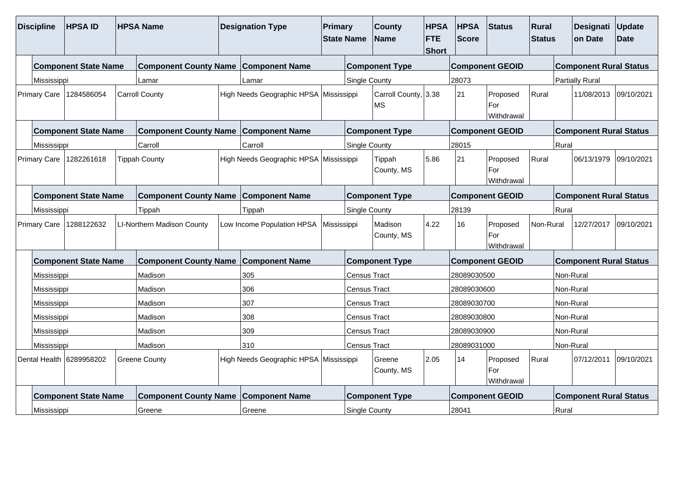| <b>Discipline</b>                                                       | <b>HPSAID</b>               |  | <b>HPSA Name</b>                            | <b>Designation Type</b>                | Primary<br><b>State Name</b> |                      | <b>County</b><br>Name      | <b>HPSA</b><br><b>FTE</b><br><b>Short</b> | <b>HPSA</b><br><b>Score</b> | Status                        | Rural<br><b>Status</b> |           | Designati<br>on Date          | Update<br><b>Date</b> |
|-------------------------------------------------------------------------|-----------------------------|--|---------------------------------------------|----------------------------------------|------------------------------|----------------------|----------------------------|-------------------------------------------|-----------------------------|-------------------------------|------------------------|-----------|-------------------------------|-----------------------|
|                                                                         | <b>Component State Name</b> |  | <b>Component County Name Component Name</b> |                                        |                              |                      | <b>Component Type</b>      |                                           |                             | <b>Component GEOID</b>        |                        |           | <b>Component Rural Status</b> |                       |
| Mississippi                                                             |                             |  | Lamar                                       | Lamar                                  |                              | <b>Single County</b> |                            |                                           | 28073                       |                               |                        |           | <b>Partially Rural</b>        |                       |
|                                                                         | Primary Care   1284586054   |  | <b>Carroll County</b>                       | High Needs Geographic HPSA Mississippi |                              |                      | Carroll County, 3.38<br>MS |                                           | 21                          | Proposed<br>For<br>Withdrawal | Rural                  |           | 11/08/2013 09/10/2021         |                       |
|                                                                         | <b>Component State Name</b> |  | <b>Component County Name Component Name</b> |                                        |                              |                      | <b>Component Type</b>      |                                           |                             | <b>Component GEOID</b>        |                        |           | <b>Component Rural Status</b> |                       |
| Mississippi                                                             |                             |  | Carroll                                     | Carroll                                |                              | <b>Single County</b> |                            |                                           | 28015                       |                               |                        | Rural     |                               |                       |
| Primary Care   1282261618<br><b>Component State Name</b><br>Mississippi |                             |  | <b>Tippah County</b>                        | High Needs Geographic HPSA Mississippi |                              |                      | Tippah<br>County, MS       | 5.86                                      | 21                          | Proposed<br>For<br>Withdrawal | Rural                  |           | 06/13/1979                    | 09/10/2021            |
|                                                                         |                             |  | <b>Component County Name Component Name</b> |                                        |                              |                      | <b>Component Type</b>      |                                           |                             | <b>Component GEOID</b>        |                        |           | <b>Component Rural Status</b> |                       |
|                                                                         |                             |  | Tippah                                      | Tippah                                 |                              | <b>Single County</b> |                            |                                           | 28139                       |                               |                        | Rural     |                               |                       |
|                                                                         | Primary Care   1288122632   |  | LI-Northern Madison County                  | Low Income Population HPSA             | Mississippi                  |                      | Madison<br>County, MS      | 4.22                                      | 16                          | Proposed<br>For<br>Withdrawal | Non-Rural              |           | 12/27/2017                    | 09/10/2021            |
|                                                                         | <b>Component State Name</b> |  | <b>Component County Name Component Name</b> |                                        |                              |                      | <b>Component Type</b>      |                                           |                             | <b>Component GEOID</b>        |                        |           | <b>Component Rural Status</b> |                       |
| Mississippi                                                             |                             |  | Madison                                     | 305                                    |                              | <b>Census Tract</b>  |                            |                                           | 28089030500                 |                               |                        | Non-Rural |                               |                       |
| Mississippi                                                             |                             |  | Madison                                     | 306                                    |                              | <b>Census Tract</b>  |                            |                                           | 28089030600                 |                               |                        | Non-Rural |                               |                       |
| Mississippi                                                             |                             |  | Madison                                     | 307                                    |                              | <b>Census Tract</b>  |                            |                                           | 28089030700                 |                               |                        | Non-Rural |                               |                       |
| Mississippi<br>Madison                                                  |                             |  |                                             | 308                                    |                              | <b>Census Tract</b>  |                            |                                           | 28089030800                 |                               |                        | Non-Rural |                               |                       |
| Madison<br>Mississippi                                                  |                             |  |                                             | 309                                    |                              | <b>Census Tract</b>  |                            |                                           | 28089030900                 |                               |                        | Non-Rural |                               |                       |
| Madison<br>Mississippi                                                  |                             |  |                                             | 310                                    |                              | Census Tract         |                            |                                           | 28089031000                 |                               |                        | Non-Rural |                               |                       |
| Dental Health 6289958202<br><b>Greene County</b>                        |                             |  |                                             | High Needs Geographic HPSA Mississippi |                              |                      | Greene<br>County, MS       | 2.05                                      | 14                          | Proposed<br>For<br>Withdrawal | Rural                  |           | 07/12/2011                    | 09/10/2021            |
|                                                                         | <b>Component State Name</b> |  | <b>Component County Name</b>                | <b>Component Name</b>                  |                              |                      | <b>Component Type</b>      |                                           |                             | <b>Component GEOID</b>        |                        |           | <b>Component Rural Status</b> |                       |
| Mississippi                                                             |                             |  | Greene                                      | Greene                                 |                              | <b>Single County</b> |                            |                                           | 28041                       |                               |                        | Rural     |                               |                       |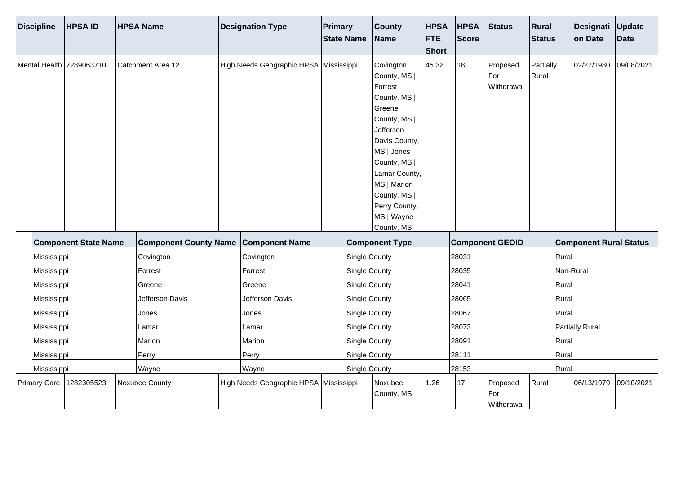| <b>Discipline</b> | <b>HPSAID</b>               | <b>HPSA Name</b>             | <b>Designation Type</b>                | Primary | <b>State Name</b>    | <b>County</b><br><b>Name</b>                                                                                                                                                                                                            | <b>HPSA</b><br><b>FTE</b><br>Short | <b>HPSA</b><br>Score | Status                        | Rural<br><b>Status</b> |           | Designati Update<br>on Date   | <b>Date</b> |
|-------------------|-----------------------------|------------------------------|----------------------------------------|---------|----------------------|-----------------------------------------------------------------------------------------------------------------------------------------------------------------------------------------------------------------------------------------|------------------------------------|----------------------|-------------------------------|------------------------|-----------|-------------------------------|-------------|
|                   | Mental Health 7289063710    | Catchment Area 12            | High Needs Geographic HPSA Mississippi |         |                      | Covington<br>County, MS  <br>Forrest<br>County, MS  <br>Greene<br>County, MS  <br>Jefferson<br>Davis County,<br>MS   Jones<br>County, MS  <br>Lamar County,<br>MS   Marion<br>County, MS  <br>Perry County,<br>MS   Wayne<br>County, MS | 45.32                              | 18                   | Proposed<br>For<br>Withdrawal | Partially<br>Rural     |           | 02/27/1980 09/08/2021         |             |
|                   | <b>Component State Name</b> | <b>Component County Name</b> | <b>Component Name</b>                  |         |                      | <b>Component Type</b>                                                                                                                                                                                                                   |                                    |                      | <b>Component GEOID</b>        |                        |           | <b>Component Rural Status</b> |             |
| Mississippi       |                             | Covington                    | Covington                              |         | Single County        |                                                                                                                                                                                                                                         |                                    | 28031                |                               |                        | Rural     |                               |             |
| Mississippi       |                             | Forrest                      | Forrest                                |         | Single County        |                                                                                                                                                                                                                                         |                                    | 28035                |                               |                        | Non-Rural |                               |             |
| Mississippi       |                             | Greene                       | Greene                                 |         | Single County        |                                                                                                                                                                                                                                         |                                    | 28041                |                               |                        | Rural     |                               |             |
| Mississippi       |                             | Jefferson Davis              | Jefferson Davis                        |         | Single County        |                                                                                                                                                                                                                                         |                                    | 28065                |                               |                        | Rural     |                               |             |
| Mississippi       |                             | Jones                        | Jones                                  |         | <b>Single County</b> |                                                                                                                                                                                                                                         |                                    | 28067                |                               |                        | Rural     |                               |             |
| Mississippi       |                             | Lamar                        | Lamar                                  |         | Single County        |                                                                                                                                                                                                                                         |                                    | 28073                |                               |                        |           | <b>Partially Rural</b>        |             |
| Mississippi       |                             | Marion                       | Marion                                 |         | Single County        |                                                                                                                                                                                                                                         |                                    | 28091                |                               |                        | Rural     |                               |             |
| Mississippi       |                             | Perry                        | Perry                                  |         | Single County        |                                                                                                                                                                                                                                         |                                    | 28111                |                               |                        | Rural     |                               |             |
| Mississippi       |                             | Wayne                        | Wayne                                  |         | Single County        |                                                                                                                                                                                                                                         |                                    | 28153                |                               |                        | Rural     |                               |             |
|                   | Primary Care   1282305523   | Noxubee County               | High Needs Geographic HPSA Mississippi |         |                      | Noxubee<br>County, MS                                                                                                                                                                                                                   | 1.26                               | 17                   | Proposed<br>For<br>Withdrawal | Rural                  |           | 06/13/1979 09/10/2021         |             |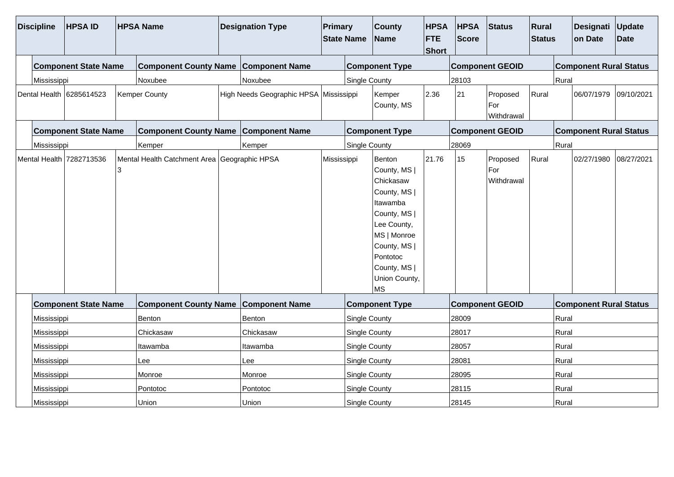| <b>Discipline</b> | <b>HPSA ID</b>              |          | <b>HPSA Name</b>                             | <b>Designation Type</b>                | <b>Primary</b> | <b>State Name</b>    | <b>County</b><br><b>Name</b>                                                                                                                                                            | <b>HPSA</b><br><b>FTE</b><br>Short | <b>HPSA</b><br><b>Score</b> | <b>Status</b>                 | Rural<br><b>Status</b> |       | Designati<br>on Date          | Update<br><b>Date</b> |
|-------------------|-----------------------------|----------|----------------------------------------------|----------------------------------------|----------------|----------------------|-----------------------------------------------------------------------------------------------------------------------------------------------------------------------------------------|------------------------------------|-----------------------------|-------------------------------|------------------------|-------|-------------------------------|-----------------------|
|                   | <b>Component State Name</b> |          | Component County Name Component Name         |                                        |                |                      | <b>Component Type</b>                                                                                                                                                                   |                                    |                             | <b>Component GEOID</b>        |                        |       | <b>Component Rural Status</b> |                       |
| Mississippi       |                             |          | Noxubee                                      | Noxubee                                |                | <b>Single County</b> |                                                                                                                                                                                         |                                    | 28103                       |                               |                        | Rural |                               |                       |
|                   | Dental Health 6285614523    |          | <b>Kemper County</b>                         | High Needs Geographic HPSA Mississippi |                |                      | Kemper<br>County, MS                                                                                                                                                                    | 2.36                               | 21                          | Proposed<br>For<br>Withdrawal | Rural                  |       | 06/07/1979                    | 09/10/2021            |
|                   | <b>Component State Name</b> |          | Component County Name Component Name         |                                        |                |                      | <b>Component Type</b>                                                                                                                                                                   |                                    |                             | <b>Component GEOID</b>        |                        |       | <b>Component Rural Status</b> |                       |
| Mississippi       |                             |          | Kemper                                       | Kemper                                 |                | <b>Single County</b> |                                                                                                                                                                                         |                                    | 28069                       |                               |                        | Rural |                               |                       |
|                   | Mental Health 7282713536    |          | Mental Health Catchment Area Geographic HPSA |                                        | Mississippi    |                      | Benton<br>County, MS  <br>Chickasaw<br>County, MS  <br>Itawamba<br>County, MS  <br>Lee County,<br>MS   Monroe<br>County, MS  <br>Pontotoc<br>County, MS  <br>Union County,<br><b>MS</b> | 21.76                              | 15                          | Proposed<br>For<br>Withdrawal | Rural                  |       | 02/27/1980                    | 08/27/2021            |
|                   | <b>Component State Name</b> |          | <b>Component County Name Component Name</b>  |                                        |                |                      | <b>Component Type</b>                                                                                                                                                                   |                                    |                             | <b>Component GEOID</b>        |                        |       | <b>Component Rural Status</b> |                       |
| Mississippi       |                             |          | Benton                                       | Benton                                 |                | Single County        |                                                                                                                                                                                         |                                    | 28009                       |                               |                        | Rural |                               |                       |
| Mississippi       |                             |          | Chickasaw                                    | Chickasaw                              |                | <b>Single County</b> |                                                                                                                                                                                         |                                    | 28017                       |                               |                        | Rural |                               |                       |
| Mississippi       |                             |          | Itawamba                                     | Itawamba                               |                | Single County        |                                                                                                                                                                                         |                                    | 28057                       |                               |                        | Rural |                               |                       |
| Mississippi       |                             |          | Lee                                          | Lee                                    |                | Single County        |                                                                                                                                                                                         |                                    | 28081                       |                               |                        | Rural |                               |                       |
| Mississippi       |                             | Monroe   | Monroe                                       |                                        | Single County  |                      |                                                                                                                                                                                         | 28095                              |                             |                               | Rural                  |       |                               |                       |
| Mississippi       |                             | Pontotoc | Pontotoc                                     |                                        | Single County  |                      |                                                                                                                                                                                         | 28115                              |                             |                               | Rural                  |       |                               |                       |
| Mississippi       |                             |          | Union                                        | Union                                  |                | Single County        |                                                                                                                                                                                         |                                    | 28145                       |                               |                        | Rural |                               |                       |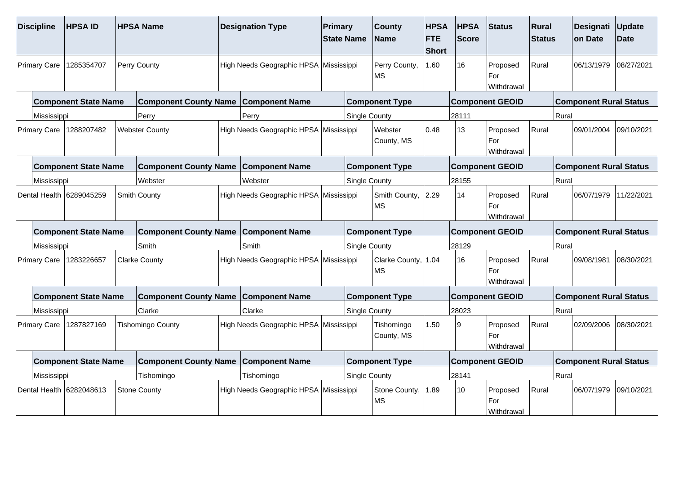| <b>Discipline</b>   | <b>HPSAID</b>               | <b>HPSA Name</b>                            | <b>Designation Type</b>                | Primary | <b>State Name</b>    | <b>County</b><br><b>Name</b>     | <b>HPSA</b><br><b>FTE</b><br><b>Short</b> | <b>HPSA</b><br><b>Score</b> | Status                        | Rural<br><b>Status</b> |       | <b>Designati</b><br>on Date   | Update<br><b>Date</b> |
|---------------------|-----------------------------|---------------------------------------------|----------------------------------------|---------|----------------------|----------------------------------|-------------------------------------------|-----------------------------|-------------------------------|------------------------|-------|-------------------------------|-----------------------|
| <b>Primary Care</b> | 1285354707                  | Perry County                                | High Needs Geographic HPSA Mississippi |         |                      | Perry County,<br>MS              | 1.60                                      | 16                          | Proposed<br>For<br>Withdrawal | Rural                  |       | 06/13/1979                    | 08/27/2021            |
|                     | <b>Component State Name</b> | <b>Component County Name</b>                | <b>Component Name</b>                  |         |                      | <b>Component Type</b>            |                                           |                             | <b>Component GEOID</b>        |                        |       | <b>Component Rural Status</b> |                       |
| Mississippi         |                             | Perry                                       | Perry                                  |         | <b>Single County</b> |                                  |                                           | 28111                       |                               |                        | Rural |                               |                       |
| <b>Primary Care</b> | 1288207482                  | <b>Webster County</b>                       | High Needs Geographic HPSA Mississippi |         |                      | Webster<br>County, MS            | 0.48                                      | 13                          | Proposed<br>For<br>Withdrawal | Rural                  |       | 09/01/2004                    | 09/10/2021            |
|                     | <b>Component State Name</b> | <b>Component County Name</b>                | <b>Component Name</b>                  |         |                      | <b>Component Type</b>            |                                           |                             | <b>Component GEOID</b>        |                        |       | <b>Component Rural Status</b> |                       |
| Mississippi         |                             | Webster                                     | Webster                                |         | <b>Single County</b> |                                  |                                           | 28155                       |                               |                        | Rural |                               |                       |
|                     | Dental Health 6289045259    | Smith County                                | High Needs Geographic HPSA Mississippi |         |                      | Smith County,<br>MS              | 2.29                                      | 14                          | Proposed<br>For<br>Withdrawal | Rural                  |       | 06/07/1979                    | 11/22/2021            |
|                     | <b>Component State Name</b> | <b>Component County Name Component Name</b> |                                        |         |                      | <b>Component Type</b>            |                                           |                             | <b>Component GEOID</b>        |                        |       | <b>Component Rural Status</b> |                       |
| Mississippi         |                             | Smith                                       | Smith                                  |         | <b>Single County</b> |                                  |                                           | 28129                       |                               |                        | Rural |                               |                       |
|                     | Primary Care   1283226657   | <b>Clarke County</b>                        | High Needs Geographic HPSA Mississippi |         |                      | Clarke County, 1.04<br><b>MS</b> |                                           | 16                          | Proposed<br>For<br>Withdrawal | Rural                  |       | 09/08/1981                    | 08/30/2021            |
|                     | <b>Component State Name</b> | <b>Component County Name Component Name</b> |                                        |         |                      | <b>Component Type</b>            |                                           |                             | <b>Component GEOID</b>        |                        |       | <b>Component Rural Status</b> |                       |
| Mississippi         |                             | Clarke                                      | Clarke                                 |         | <b>Single County</b> |                                  |                                           | 28023                       |                               |                        | Rural |                               |                       |
|                     | Primary Care   1287827169   | <b>Tishomingo County</b>                    | High Needs Geographic HPSA Mississippi |         |                      | Tishomingo<br>County, MS         | 1.50                                      | و                           | Proposed<br>For<br>Withdrawal | Rural                  |       | 02/09/2006                    | 08/30/2021            |
|                     | <b>Component State Name</b> | <b>Component County Name</b>                | <b>Component Name</b>                  |         |                      | <b>Component Type</b>            |                                           |                             | <b>Component GEOID</b>        |                        |       | <b>Component Rural Status</b> |                       |
| Mississippi         |                             | Tishomingo                                  | Tishomingo                             |         | Single County        |                                  |                                           | 28141                       |                               |                        | Rural |                               |                       |
|                     | Dental Health 6282048613    | <b>Stone County</b>                         | High Needs Geographic HPSA Mississippi |         |                      | Stone County,<br>MS              | 1.89                                      | 10                          | Proposed<br>For<br>Withdrawal | Rural                  |       | 06/07/1979                    | 09/10/2021            |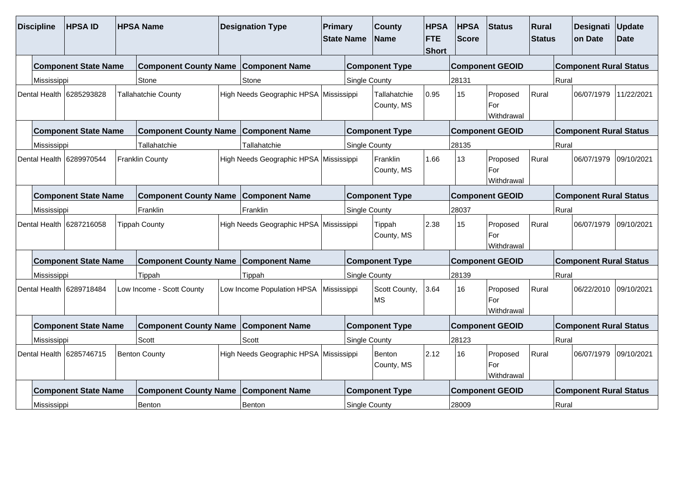| <b>Discipline</b>                                               | <b>HPSAID</b>                                                                                 |  | <b>HPSA Name</b>                            |  | <b>Designation Type</b>                  | Primary     | <b>State Name</b>    | <b>County</b><br><b>Name</b> | <b>HPSA</b><br><b>FTE</b><br><b>Short</b> | <b>HPSA</b><br><b>Score</b> | <b>Status</b>                 | Rural<br><b>Status</b> |       | Designati<br>on Date          | Update<br><b>Date</b> |
|-----------------------------------------------------------------|-----------------------------------------------------------------------------------------------|--|---------------------------------------------|--|------------------------------------------|-------------|----------------------|------------------------------|-------------------------------------------|-----------------------------|-------------------------------|------------------------|-------|-------------------------------|-----------------------|
|                                                                 | <b>Component State Name</b>                                                                   |  | <b>Component County Name Component Name</b> |  |                                          |             |                      | <b>Component Type</b>        |                                           |                             | <b>Component GEOID</b>        |                        |       | <b>Component Rural Status</b> |                       |
| Mississippi                                                     |                                                                                               |  | Stone                                       |  | Stone                                    |             | Single County        |                              |                                           | 28131                       |                               |                        | Rural |                               |                       |
|                                                                 | Dental Health 16285293828                                                                     |  | <b>Tallahatchie County</b>                  |  | High Needs Geographic HPSA Mississippi   |             |                      | Tallahatchie<br>County, MS   | 0.95                                      | 15                          | Proposed<br>For<br>Withdrawal | Rural                  |       | 06/07/1979                    | 11/22/2021            |
|                                                                 | <b>Component State Name</b>                                                                   |  | Component County Name Component Name        |  |                                          |             |                      | <b>Component Type</b>        |                                           |                             | <b>Component GEOID</b>        |                        |       | <b>Component Rural Status</b> |                       |
| Mississippi                                                     |                                                                                               |  | Tallahatchie                                |  | Tallahatchie                             |             | Single County        |                              |                                           | 28135                       |                               |                        | Rural |                               |                       |
|                                                                 | Dental Health 6289970544<br><b>Franklin County</b><br><b>Component State Name</b><br>Franklin |  |                                             |  | High Needs Geographic HPSA Mississippi   |             |                      | Franklin<br>County, MS       | 1.66                                      | 13                          | Proposed<br>For<br>Withdrawal | Rural                  |       | 06/07/1979                    | 09/10/2021            |
|                                                                 |                                                                                               |  | <b>Component County Name</b>                |  | <b>Component Name</b>                    |             |                      | <b>Component Type</b>        |                                           |                             | <b>Component GEOID</b>        |                        |       | <b>Component Rural Status</b> |                       |
|                                                                 |                                                                                               |  |                                             |  | Franklin                                 |             | <b>Single County</b> |                              |                                           | 28037                       |                               |                        | Rural |                               |                       |
| Mississippi<br>Dental Health 6287216058<br><b>Tippah County</b> |                                                                                               |  |                                             |  | High Needs Geographic HPSA   Mississippi |             |                      | Tippah<br>County, MS         | 2.38                                      | 15                          | Proposed<br>For<br>Withdrawal | Rural                  |       | 06/07/1979                    | 09/10/2021            |
|                                                                 | <b>Component State Name</b>                                                                   |  | <b>Component County Name Component Name</b> |  |                                          |             |                      | <b>Component Type</b>        |                                           |                             | <b>Component GEOID</b>        |                        |       | <b>Component Rural Status</b> |                       |
|                                                                 |                                                                                               |  | Tippah                                      |  | Tippah                                   |             | <b>Single County</b> |                              |                                           | 28139                       |                               |                        | Rural |                               |                       |
| Mississippi<br>Dental Health 6289718484                         |                                                                                               |  | Low Income - Scott County                   |  | Low Income Population HPSA               | Mississippi |                      | Scott County,<br><b>MS</b>   | 3.64                                      | 16                          | Proposed<br>For<br>Withdrawal | Rural                  |       | 06/22/2010                    | 09/10/2021            |
|                                                                 | <b>Component County Name Component Name</b><br><b>Component State Name</b>                    |  |                                             |  |                                          |             |                      | <b>Component Type</b>        |                                           |                             | <b>Component GEOID</b>        |                        |       | <b>Component Rural Status</b> |                       |
| Mississippi                                                     | Scott                                                                                         |  |                                             |  | Scott                                    |             | Single County        |                              |                                           | 28123                       |                               |                        | Rural |                               |                       |
|                                                                 | Dental Health 16285746715<br><b>Benton County</b>                                             |  |                                             |  | High Needs Geographic HPSA Mississippi   |             |                      | <b>Benton</b><br>County, MS  | 2.12                                      | 16                          | Proposed<br>For<br>Withdrawal | Rural                  |       | 06/07/1979                    | 09/10/2021            |
|                                                                 | <b>Component State Name</b>                                                                   |  | <b>Component County Name Component Name</b> |  |                                          |             |                      | <b>Component Type</b>        |                                           |                             | <b>Component GEOID</b>        |                        |       | <b>Component Rural Status</b> |                       |
| Mississippi                                                     |                                                                                               |  | <b>Benton</b>                               |  | Benton                                   |             | Single County        |                              |                                           | 28009                       |                               |                        | Rural |                               |                       |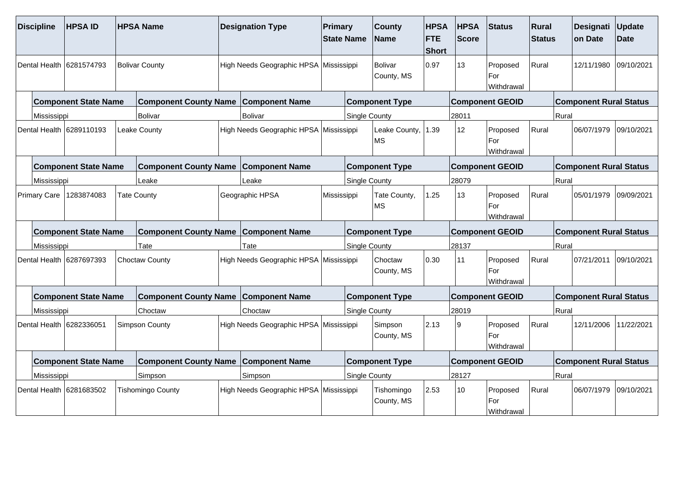| <b>Discipline</b>   |             | <b>HPSAID</b>               | <b>HPSA Name</b>                            | <b>Designation Type</b>                | Primary     | <b>State Name</b>    | <b>County</b><br><b>Name</b> | <b>HPSA</b><br><b>FTE</b><br><b>Short</b> | <b>HPSA</b><br><b>Score</b> | Status                        | Rural<br><b>Status</b> |       | <b>Designati</b><br>on Date   | Update<br><b>Date</b> |
|---------------------|-------------|-----------------------------|---------------------------------------------|----------------------------------------|-------------|----------------------|------------------------------|-------------------------------------------|-----------------------------|-------------------------------|------------------------|-------|-------------------------------|-----------------------|
| Dental Health       |             | 6281574793                  | <b>Bolivar County</b>                       | High Needs Geographic HPSA Mississippi |             |                      | <b>Bolivar</b><br>County, MS | 0.97                                      | 13                          | Proposed<br>For<br>Withdrawal | Rural                  |       | 12/11/1980                    | 09/10/2021            |
|                     |             | <b>Component State Name</b> | <b>Component County Name</b>                | <b>Component Name</b>                  |             |                      | <b>Component Type</b>        |                                           |                             | <b>Component GEOID</b>        |                        |       | <b>Component Rural Status</b> |                       |
|                     | Mississippi |                             | <b>Bolivar</b>                              | Bolivar                                |             | <b>Single County</b> |                              |                                           | 28011                       |                               |                        | Rural |                               |                       |
|                     |             | Dental Health 6289110193    | Leake County                                | High Needs Geographic HPSA Mississippi |             |                      | Leake County,<br><b>MS</b>   | 1.39                                      | 12 <sup>°</sup>             | Proposed<br>For<br>Withdrawal | Rural                  |       | 06/07/1979                    | 09/10/2021            |
|                     |             | <b>Component State Name</b> | <b>Component County Name</b>                | <b>Component Name</b>                  |             |                      | <b>Component Type</b>        |                                           |                             | <b>Component GEOID</b>        |                        |       | <b>Component Rural Status</b> |                       |
|                     | Mississippi |                             | Leake                                       | Leake                                  |             | <b>Single County</b> |                              |                                           | 28079                       |                               |                        | Rural |                               |                       |
| <b>Primary Care</b> |             | 1283874083                  | <b>Tate County</b>                          | Geographic HPSA                        | Mississippi |                      | Tate County,<br>MS           | 1.25                                      | 13                          | Proposed<br>For<br>Withdrawal | Rural                  |       | 05/01/1979                    | 09/09/2021            |
|                     |             | <b>Component State Name</b> | <b>Component County Name</b>                | <b>Component Name</b>                  |             |                      | <b>Component Type</b>        |                                           |                             | <b>Component GEOID</b>        |                        |       | <b>Component Rural Status</b> |                       |
|                     | Mississippi |                             | Tate                                        | Tate                                   |             | <b>Single County</b> |                              |                                           | 28137                       |                               |                        | Rural |                               |                       |
|                     |             | Dental Health 6287697393    | <b>Choctaw County</b>                       | High Needs Geographic HPSA Mississippi |             |                      | Choctaw<br>County, MS        | 0.30                                      | 11                          | Proposed<br>For<br>Withdrawal | Rural                  |       | 07/21/2011                    | 09/10/2021            |
|                     |             | <b>Component State Name</b> | <b>Component County Name Component Name</b> |                                        |             |                      | <b>Component Type</b>        |                                           |                             | <b>Component GEOID</b>        |                        |       | <b>Component Rural Status</b> |                       |
|                     | Mississippi |                             | Choctaw                                     | Choctaw                                |             | <b>Single County</b> |                              |                                           | 28019                       |                               |                        | Rural |                               |                       |
|                     |             | Dental Health 6282336051    | Simpson County                              | High Needs Geographic HPSA Mississippi |             |                      | Simpson<br>County, MS        | 2.13                                      | و                           | Proposed<br>For<br>Withdrawal | Rural                  |       | 12/11/2006                    | 11/22/2021            |
|                     |             | <b>Component State Name</b> | <b>Component County Name</b>                | <b>Component Name</b>                  |             |                      | <b>Component Type</b>        |                                           |                             | <b>Component GEOID</b>        |                        |       | <b>Component Rural Status</b> |                       |
|                     | Mississippi |                             | Simpson                                     | Simpson                                |             | Single County        |                              |                                           | 28127                       |                               |                        | Rural |                               |                       |
|                     |             | Dental Health 6281683502    | <b>Tishomingo County</b>                    | High Needs Geographic HPSA Mississippi |             |                      | Tishomingo<br>County, MS     | 2.53                                      | 10                          | Proposed<br>For<br>Withdrawal | Rural                  |       | 06/07/1979                    | 09/10/2021            |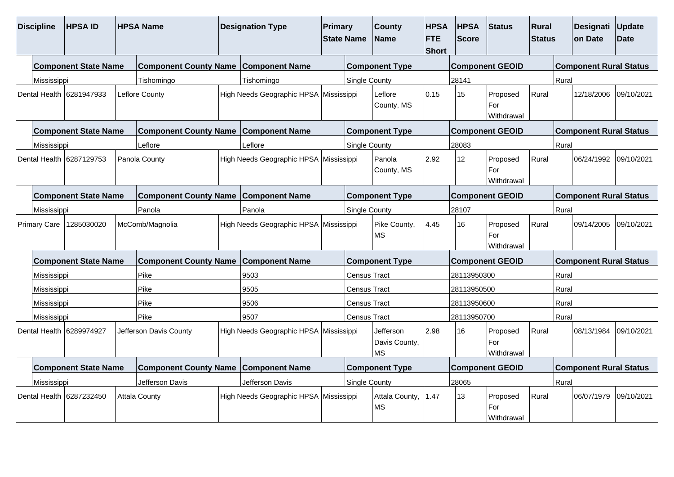| <b>Discipline</b>                                                          | <b>HPSAID</b>               |                              | <b>HPSA Name</b>                               |                                        | <b>Designation Type</b>                | Primary                                    | <b>State Name</b>    | <b>County</b><br><b>Name</b>                    | <b>HPSA</b><br><b>FTE</b><br><b>Short</b> | <b>HPSA</b><br><b>Score</b> | <b>Status</b>                 | Rural<br><b>Status</b>        |            | Designati<br>on Date          | Update<br><b>Date</b> |  |  |
|----------------------------------------------------------------------------|-----------------------------|------------------------------|------------------------------------------------|----------------------------------------|----------------------------------------|--------------------------------------------|----------------------|-------------------------------------------------|-------------------------------------------|-----------------------------|-------------------------------|-------------------------------|------------|-------------------------------|-----------------------|--|--|
|                                                                            | <b>Component State Name</b> |                              | <b>Component County Name</b>                   |                                        | <b>Component Name</b>                  |                                            |                      | <b>Component Type</b>                           |                                           |                             | <b>Component GEOID</b>        |                               |            | <b>Component Rural Status</b> |                       |  |  |
| Mississippi                                                                |                             |                              | Tishomingo                                     |                                        | Tishomingo                             |                                            | Single County        |                                                 |                                           | 28141                       |                               |                               | Rural      |                               |                       |  |  |
| Dental Health 6281947933<br>Leflore County                                 |                             |                              |                                                | High Needs Geographic HPSA Mississippi | 0.15<br>Leflore<br>County, MS          |                                            |                      | 15                                              | Proposed<br>Rural<br>For<br>Withdrawal    |                             |                               | 12/18/2006                    | 09/10/2021 |                               |                       |  |  |
|                                                                            | <b>Component State Name</b> | <b>Component County Name</b> | <b>Component Name</b><br><b>Component Type</b> |                                        |                                        |                                            |                      | <b>Component GEOID</b>                          |                                           |                             |                               | <b>Component Rural Status</b> |            |                               |                       |  |  |
| Mississippi                                                                |                             |                              | Leflore                                        |                                        | Leflore                                |                                            | <b>Single County</b> |                                                 |                                           | 28083                       |                               |                               | Rural      |                               |                       |  |  |
| Dental Health 6287129753<br>Panola County                                  |                             |                              |                                                | High Needs Geographic HPSA Mississippi | Panola<br>County, MS                   |                                            | 2.92                 | 12                                              | Proposed<br>For<br>Withdrawal             | Rural                       |                               | 06/24/1992                    | 09/10/2021 |                               |                       |  |  |
|                                                                            | <b>Component State Name</b> | <b>Component County Name</b> | <b>Component Name</b>                          |                                        |                                        | <b>Component Type</b>                      |                      |                                                 | <b>Component GEOID</b>                    |                             |                               | <b>Component Rural Status</b> |            |                               |                       |  |  |
| Mississippi                                                                |                             |                              | Panola                                         |                                        | Panola                                 |                                            | <b>Single County</b> |                                                 |                                           | 28107                       |                               |                               |            | Rural                         |                       |  |  |
| 1285030020<br>McComb/Magnolia<br><b>Primary Care</b>                       |                             |                              | High Needs Geographic HPSA Mississippi         |                                        |                                        | Pike County,<br><b>MS</b>                  | 4.45                 | 16<br>Proposed<br>For<br>Withdrawal             |                                           | Rural                       |                               | 09/14/2005                    | 09/10/2021 |                               |                       |  |  |
|                                                                            | <b>Component State Name</b> |                              | <b>Component County Name</b>                   |                                        | <b>Component Name</b>                  | <b>Component Type</b>                      |                      |                                                 |                                           | <b>Component GEOID</b>      |                               |                               |            | <b>Component Rural Status</b> |                       |  |  |
| Mississippi                                                                |                             |                              | Pike                                           |                                        | 9503<br><b>Census Tract</b>            |                                            |                      |                                                 |                                           | 28113950300                 |                               |                               |            | Rural                         |                       |  |  |
| Mississippi                                                                |                             |                              | Pike                                           |                                        | 9505                                   | <b>Census Tract</b><br><b>Census Tract</b> |                      |                                                 | 28113950500                               |                             |                               | Rural                         |            |                               |                       |  |  |
| Mississippi                                                                |                             |                              | Pike                                           |                                        | 9506                                   |                                            |                      |                                                 | 28113950600                               |                             |                               | Rural                         |            |                               |                       |  |  |
| Mississippi                                                                |                             |                              | Pike                                           |                                        | 9507                                   |                                            | Census Tract         |                                                 |                                           | 28113950700                 |                               |                               | Rural      |                               |                       |  |  |
|                                                                            | Dental Health 6289974927    |                              | Jefferson Davis County                         |                                        |                                        | High Needs Geographic HPSA Mississippi     |                      | 2.98<br>Jefferson<br>Davis County,<br><b>MS</b> |                                           | 16                          | Proposed<br>For<br>Withdrawal | Rural                         |            | 08/13/1984                    | 09/10/2021            |  |  |
| <b>Component State Name</b><br><b>Component County Name Component Name</b> |                             |                              |                                                |                                        |                                        |                                            |                      | <b>Component Type</b>                           |                                           |                             | <b>Component GEOID</b>        |                               |            | <b>Component Rural Status</b> |                       |  |  |
| Mississippi                                                                |                             |                              | Jefferson Davis                                |                                        | Jefferson Davis                        |                                            |                      | Single County                                   |                                           |                             |                               |                               | Rural      |                               |                       |  |  |
|                                                                            | Dental Health 6287232450    |                              | <b>Attala County</b>                           |                                        | High Needs Geographic HPSA Mississippi |                                            |                      | Attala County,<br><b>MS</b>                     | 1.47                                      | 13                          | Proposed<br>For<br>Withdrawal | Rural                         |            | 06/07/1979                    | 09/10/2021            |  |  |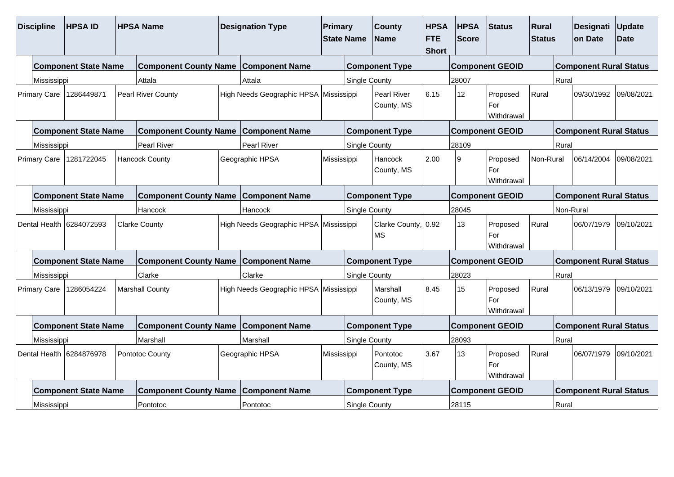| <b>Discipline</b>   |                                                                            | <b>HPSAID</b>                           |                              | <b>HPSA Name</b>                            |                                        | <b>Designation Type</b>                | Primary<br><b>State Name</b>     |                                  | <b>County</b><br><b>Name</b>   | <b>HPSA</b><br><b>FTE</b><br><b>Short</b> | <b>HPSA</b><br><b>Score</b>            | <b>Status</b>                          | Rural<br><b>Status</b>        |                               | Designati<br>on Date          | Update<br><b>Date</b> |  |
|---------------------|----------------------------------------------------------------------------|-----------------------------------------|------------------------------|---------------------------------------------|----------------------------------------|----------------------------------------|----------------------------------|----------------------------------|--------------------------------|-------------------------------------------|----------------------------------------|----------------------------------------|-------------------------------|-------------------------------|-------------------------------|-----------------------|--|
|                     |                                                                            | <b>Component State Name</b>             |                              | <b>Component County Name Component Name</b> |                                        |                                        |                                  |                                  | <b>Component Type</b>          |                                           |                                        | <b>Component GEOID</b>                 |                               |                               | <b>Component Rural Status</b> |                       |  |
|                     | Mississippi                                                                |                                         |                              | Attala                                      |                                        | Attala                                 |                                  | Single County                    |                                |                                           | 28007                                  |                                        |                               | Rural                         |                               |                       |  |
|                     | Primary Care                                                               | <b>Pearl River County</b><br>1286449871 |                              |                                             | High Needs Geographic HPSA Mississippi |                                        | <b>Pearl River</b><br>County, MS |                                  | 6.15                           | 12                                        | Rural<br>Proposed<br>For<br>Withdrawal |                                        |                               | 09/30/1992                    | 09/08/2021                    |                       |  |
|                     | <b>Component State Name</b><br>Component County Name Component Name        |                                         |                              |                                             |                                        | <b>Component Type</b>                  |                                  |                                  |                                | <b>Component GEOID</b>                    |                                        |                                        |                               | <b>Component Rural Status</b> |                               |                       |  |
|                     | Pearl River<br>Mississippi                                                 |                                         |                              |                                             |                                        | Pearl River<br><b>Single County</b>    |                                  |                                  |                                |                                           | 28109                                  |                                        |                               | Rural                         |                               |                       |  |
| <b>Primary Care</b> |                                                                            | 1281722045                              |                              | <b>Hancock County</b>                       |                                        | Geographic HPSA                        | Mississippi                      |                                  | Hancock<br>County, MS          | 2.00                                      | ۱o                                     | Proposed<br>For<br>Withdrawal          | Non-Rural                     |                               | 06/14/2004                    | 09/08/2021            |  |
|                     |                                                                            | <b>Component State Name</b>             | <b>Component County Name</b> | <b>Component Name</b>                       |                                        |                                        | <b>Component Type</b>            |                                  |                                | <b>Component GEOID</b>                    |                                        |                                        | <b>Component Rural Status</b> |                               |                               |                       |  |
|                     | Mississippi<br>Hancock                                                     |                                         |                              |                                             | Hancock                                | <b>Single County</b>                   |                                  |                                  | 28045                          |                                           |                                        |                                        | Non-Rural                     |                               |                               |                       |  |
|                     |                                                                            | Dental Health 6284072593                |                              | <b>Clarke County</b>                        |                                        | High Needs Geographic HPSA Mississippi |                                  | Clarke County, 0.92<br><b>MS</b> |                                |                                           | 13                                     | Proposed<br>Rural<br>For<br>Withdrawal |                               |                               | 06/07/1979                    | 09/10/2021            |  |
|                     |                                                                            | <b>Component State Name</b>             |                              | <b>Component County Name Component Name</b> |                                        | <b>Component Type</b>                  |                                  |                                  |                                |                                           | <b>Component GEOID</b>                 |                                        |                               |                               | <b>Component Rural Status</b> |                       |  |
|                     | Mississippi                                                                |                                         | Clarke                       |                                             |                                        | <b>Single County</b>                   |                                  |                                  | 28023                          |                                           |                                        | Rural                                  |                               |                               |                               |                       |  |
|                     | Primary Care                                                               | 1286054224                              |                              | Clarke<br><b>Marshall County</b>            |                                        | High Needs Geographic HPSA Mississippi |                                  | 8.45<br>Marshall<br>County, MS   |                                |                                           | 15<br>Proposed<br>For<br>Withdrawal    |                                        | Rural                         |                               | 06/13/1979                    | 09/10/2021            |  |
|                     |                                                                            | <b>Component State Name</b>             |                              | Component County Name Component Name        |                                        |                                        |                                  |                                  | <b>Component Type</b>          |                                           |                                        | <b>Component GEOID</b>                 |                               |                               | <b>Component Rural Status</b> |                       |  |
|                     | Mississippi                                                                |                                         |                              | Marshall                                    |                                        | Marshall                               |                                  | Single County                    |                                |                                           | 28093                                  |                                        |                               | Rural                         |                               |                       |  |
|                     | Dental Health 6284876978<br>Pontotoc County                                |                                         |                              |                                             | Geographic HPSA                        |                                        | Mississippi                      |                                  | 3.67<br>Pontotoc<br>County, MS |                                           | 13                                     | Rural<br>Proposed<br>For<br>Withdrawal |                               |                               | 06/07/1979                    | 09/10/2021            |  |
|                     | <b>Component State Name</b><br><b>Component County Name Component Name</b> |                                         |                              |                                             |                                        |                                        |                                  | <b>Component Type</b>            |                                |                                           | <b>Component GEOID</b>                 |                                        | <b>Component Rural Status</b> |                               |                               |                       |  |
|                     | Pontotoc<br>Mississippi                                                    |                                         |                              |                                             |                                        | Pontotoc<br>Single County              |                                  |                                  |                                |                                           | Rural<br>28115                         |                                        |                               |                               |                               |                       |  |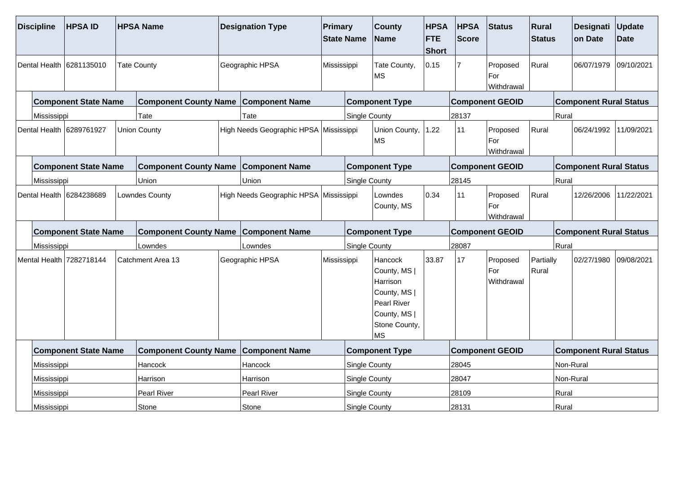| <b>Discipline</b>        |                             | <b>HPSAID</b>               |                   | <b>HPSA Name</b>                            |                       | <b>Designation Type</b>                |                      | <b>Primary</b><br><b>State Name</b> | <b>County</b><br><b>Name</b>                                                                              | <b>HPSA</b><br><b>FTE</b><br><b>Short</b> | <b>HPSA</b><br><b>Score</b> | Status                        | Rural<br><b>Status</b> | Designati<br>on Date          | Update<br><b>Date</b> |  |  |
|--------------------------|-----------------------------|-----------------------------|-------------------|---------------------------------------------|-----------------------|----------------------------------------|----------------------|-------------------------------------|-----------------------------------------------------------------------------------------------------------|-------------------------------------------|-----------------------------|-------------------------------|------------------------|-------------------------------|-----------------------|--|--|
| Dental Health 6281135010 |                             |                             |                   | <b>Tate County</b>                          |                       | Geographic HPSA                        | Mississippi          |                                     | Tate County,<br><b>MS</b>                                                                                 | 0.15                                      |                             | Proposed<br>For<br>Withdrawal | Rural                  | 06/07/1979                    | 09/10/2021            |  |  |
|                          |                             | <b>Component State Name</b> |                   | <b>Component County Name</b>                |                       | <b>Component Name</b>                  |                      |                                     | <b>Component Type</b>                                                                                     |                                           |                             | <b>Component GEOID</b>        |                        | <b>Component Rural Status</b> |                       |  |  |
|                          | Mississippi                 |                             |                   | Tate                                        |                       | Tate                                   |                      | <b>Single County</b>                |                                                                                                           |                                           | 28137                       |                               |                        | Rural                         |                       |  |  |
|                          |                             | Dental Health 6289761927    |                   | <b>Union County</b>                         |                       | High Needs Geographic HPSA Mississippi |                      |                                     | Union County,<br><b>MS</b>                                                                                | 1.22                                      | 11                          | Proposed<br>For<br>Withdrawal | Rural                  | 06/24/1992                    | 11/09/2021            |  |  |
|                          | <b>Component State Name</b> |                             |                   | <b>Component County Name Component Name</b> |                       |                                        |                      | <b>Component Type</b>               |                                                                                                           |                                           |                             | <b>Component GEOID</b>        |                        | <b>Component Rural Status</b> |                       |  |  |
|                          | Mississippi                 |                             |                   | Union                                       | Union                 |                                        | <b>Single County</b> |                                     |                                                                                                           | 28145                                     |                             |                               | Rural                  |                               |                       |  |  |
| Dental Health 6284238689 |                             |                             |                   | Lowndes County                              |                       | High Needs Geographic HPSA Mississippi |                      |                                     | Lowndes<br>County, MS                                                                                     | 0.34                                      | 11                          | Proposed<br>For<br>Withdrawal | Rural                  | 12/26/2006                    | 11/22/2021            |  |  |
|                          | <b>Component State Name</b> |                             |                   | <b>Component County Name</b>                | <b>Component Name</b> |                                        |                      | <b>Component Type</b>               |                                                                                                           |                                           | <b>Component GEOID</b>      |                               |                        | <b>Component Rural Status</b> |                       |  |  |
|                          | Mississippi<br>Lowndes      |                             |                   |                                             |                       | Lowndes                                | <b>Single County</b> |                                     |                                                                                                           |                                           | 28087                       |                               |                        | Rural                         |                       |  |  |
| Mental Health 7282718144 |                             |                             | Catchment Area 13 |                                             |                       | Geographic HPSA                        |                      | Mississippi                         | Hancock<br>County, MS  <br>Harrison<br>County, MS  <br>Pearl River<br>County, MS  <br>Stone County,<br>MS | 33.87                                     | 17                          | Proposed<br>For<br>Withdrawal | Partially<br>Rural     | 02/27/1980                    | 09/08/2021            |  |  |
|                          |                             | <b>Component State Name</b> |                   | <b>Component County Name</b>                |                       | <b>Component Name</b>                  |                      |                                     | <b>Component Type</b>                                                                                     |                                           |                             | <b>Component GEOID</b>        |                        | <b>Component Rural Status</b> |                       |  |  |
| Mississippi              |                             |                             |                   | Hancock                                     |                       | Hancock                                |                      | <b>Single County</b>                |                                                                                                           |                                           | 28045                       |                               |                        | Non-Rural                     |                       |  |  |
|                          | Mississippi                 |                             |                   | Harrison                                    |                       | Harrison                               |                      | Single County                       |                                                                                                           |                                           | 28047                       |                               |                        | Non-Rural                     |                       |  |  |
|                          | Mississippi                 |                             |                   | Pearl River                                 |                       | Pearl River                            |                      |                                     | Single County                                                                                             |                                           |                             |                               |                        | Rural                         |                       |  |  |
|                          | Mississippi<br>Stone        |                             |                   |                                             |                       | Stone                                  |                      |                                     | Single County                                                                                             |                                           |                             |                               |                        | Rural                         |                       |  |  |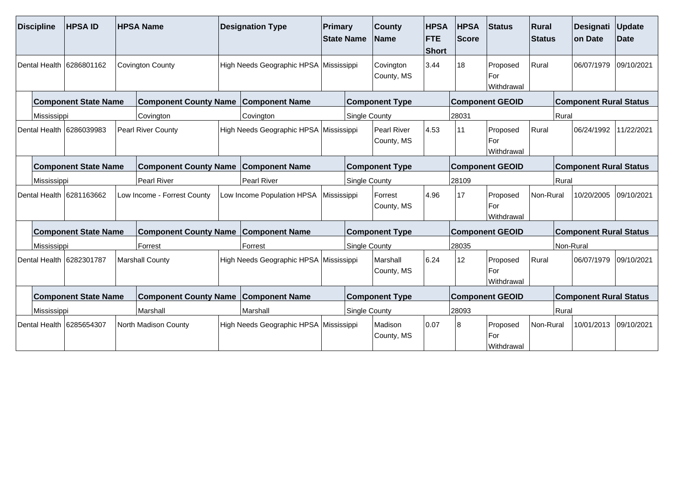| <b>Discipline</b>        |                                                                            | <b>HPSA ID</b>              | <b>HPSA Name</b>          |                              | <b>Designation Type</b> |                                        | Primary<br><b>State Name</b> |                        | <b>County</b><br><b>Name</b>     | <b>HPSA</b><br><b>FTE</b><br><b>Short</b> | <b>HPSA</b><br>Status<br>Score |                                          | Rural<br><b>Status</b> |                               | Designati<br>on Date          | <b>Update</b><br><b>Date</b> |  |
|--------------------------|----------------------------------------------------------------------------|-----------------------------|---------------------------|------------------------------|-------------------------|----------------------------------------|------------------------------|------------------------|----------------------------------|-------------------------------------------|--------------------------------|------------------------------------------|------------------------|-------------------------------|-------------------------------|------------------------------|--|
| Dental Health 6286801162 |                                                                            |                             |                           | <b>Covington County</b>      |                         | High Needs Geographic HPSA Mississippi |                              |                        | Covington<br>County, MS          | 3.44                                      | 18                             | Rural<br>Proposed<br>l For<br>Withdrawal |                        |                               | 06/07/1979                    | 09/10/2021                   |  |
|                          | <b>Component State Name</b><br><b>Component County Name</b>                |                             |                           |                              | <b>Component Name</b>   |                                        |                              | <b>Component Type</b>  |                                  | <b>Component GEOID</b>                    |                                |                                          |                        | <b>Component Rural Status</b> |                               |                              |  |
|                          | Mississippi                                                                |                             |                           | Covington                    |                         | Covington                              |                              | <b>Single County</b>   |                                  |                                           | 28031                          |                                          |                        | Rural                         |                               |                              |  |
|                          |                                                                            | Dental Health 6286039983    | <b>Pearl River County</b> |                              |                         | High Needs Geographic HPSA Mississippi |                              |                        | <b>Pearl River</b><br>County, MS | 4.53                                      | 11                             | Proposed<br>l For<br>Withdrawal          | Rural                  |                               | 06/24/1992                    | 11/22/2021                   |  |
|                          | <b>Component County Name Component Name</b><br><b>Component State Name</b> |                             |                           |                              |                         |                                        |                              |                        | <b>Component Type</b>            |                                           |                                | <b>Component GEOID</b>                   |                        |                               | <b>Component Rural Status</b> |                              |  |
|                          | <b>Pearl River</b><br>Mississippi                                          |                             |                           |                              |                         | Pearl River                            |                              |                        | <b>Single County</b>             |                                           |                                | 28109                                    |                        |                               |                               |                              |  |
| Dental Health 6281163662 |                                                                            |                             |                           | Low Income - Forrest County  |                         | Low Income Population HPSA             |                              | Mississippi            | Forrest<br>County, MS            | 4.96                                      | 17                             | Proposed<br>l For<br><b>Withdrawal</b>   | Non-Rural              |                               | 10/20/2005                    | 09/10/2021                   |  |
|                          |                                                                            | <b>Component State Name</b> |                           | <b>Component County Name</b> |                         | <b>Component Name</b>                  | <b>Component Type</b>        |                        |                                  |                                           | <b>Component GEOID</b>         |                                          |                        | <b>Component Rural Status</b> |                               |                              |  |
|                          | Mississippi                                                                | Forrest                     |                           |                              |                         | Forrest                                |                              |                        | <b>Single County</b>             |                                           |                                |                                          |                        | Non-Rural                     |                               |                              |  |
| Dental Health 6282301787 |                                                                            |                             |                           | <b>Marshall County</b>       |                         | High Needs Geographic HPSA Mississippi |                              | Marshall<br>County, MS |                                  | 6.24                                      | 12                             | Rural<br>Proposed<br>For<br>Withdrawal   |                        |                               | 06/07/1979                    | 09/10/2021                   |  |
|                          |                                                                            | <b>Component State Name</b> |                           | <b>Component County Name</b> |                         | <b>Component Name</b>                  |                              |                        | <b>Component Type</b>            |                                           |                                | <b>Component GEOID</b>                   |                        |                               | <b>Component Rural Status</b> |                              |  |
|                          | Mississippi                                                                |                             |                           | Marshall                     |                         | Marshall                               |                              | Single County          |                                  |                                           | 28093                          |                                          |                        | Rural                         |                               |                              |  |
|                          |                                                                            | Dental Health 6285654307    |                           | North Madison County         |                         | High Needs Geographic HPSA Mississippi |                              |                        | Madison<br>County, MS            | 0.07                                      | 18                             | Proposed<br>For<br>Withdrawal            | Non-Rural              |                               | 10/01/2013                    | 09/10/2021                   |  |